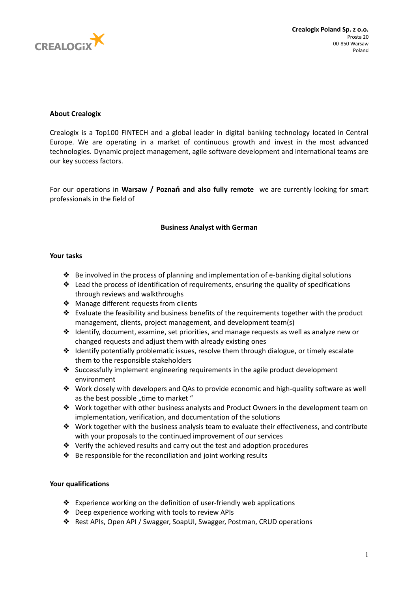

# **About Crealogix**

Crealogix is a Top100 FINTECH and a global leader in digital banking technology located in Central Europe. We are operating in a market of continuous growth and invest in the most advanced technologies. Dynamic project management, agile software development and international teams are our key success factors.

For our operations in **Warsaw / Poznań and also fully remote** we are currently looking for smart professionals in the field of

# **Business Analyst with German**

### **Your tasks**

- ❖ Be involved in the process of planning and implementation of e-banking digital solutions
- ❖ Lead the process of identification of requirements, ensuring the quality of specifications through reviews and walkthroughs
- ❖ Manage different requests from clients
- $\triangleq$  Evaluate the feasibility and business benefits of the requirements together with the product management, clients, project management, and development team(s)
- $\triangleq$  Identify, document, examine, set priorities, and manage requests as well as analyze new or changed requests and adjust them with already existing ones
- ❖ Identify potentially problematic issues, resolve them through dialogue, or timely escalate them to the responsible stakeholders
- ❖ Successfully implement engineering requirements in the agile product development environment
- ❖ Work closely with developers and QAs to provide economic and high-quality software as well as the best possible ..time to market "
- ❖ Work together with other business analysts and Product Owners in the development team on implementation, verification, and documentation of the solutions
- ❖ Work together with the business analysis team to evaluate their effectiveness, and contribute with your proposals to the continued improvement of our services
- ❖ Verify the achieved results and carry out the test and adoption procedures
- ❖ Be responsible for the reconciliation and joint working results

## **Your qualifications**

- ❖ Experience working on the definition of user-friendly web applications
- ❖ Deep experience working with tools to review APIs
- ❖ Rest APIs, Open API / Swagger, SoapUI, Swagger, Postman, CRUD operations